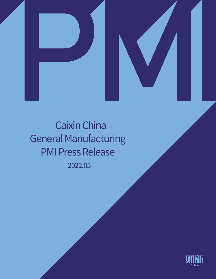



2022.05 Caixin China General Manufacturing PMI Press Release

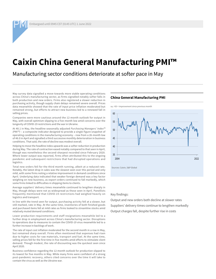# **Caixin China General Manufacturing PMI™**

Manufacturing sector conditions deteriorate at softer pace in May

May survey data signalled a move towards more stable operating conditions across China's manufacturing sector, as firms signalled notably softer falls in both production and new orders. Firms also registered a slower reduction in purchasing activity, though supply chain delays remained severe overall. Prices data meanwhile showed that the rate of input price inflation moderated but remained strong, but efforts to attract new business led to a renewed fall in selling prices.

Companies were more cautious around the 12-month outlook for output in May, with overall optimism slipping to a five-month low amid concerns over the longevity of COVID-19 restrictions and the war in Ukraine.

At 48.1 in May, the headline seasonally adjusted *Purchasing Managers' Index™ (PMI™)* – a composite indicator designed to provide a single-figure snapshot of operating conditions in the manufacturing economy – rose from a 26-month low of 46.0 in April and signalled a third successive monthly deterioration in business conditions. That said, the rate of decline was modest overall.

Helping to move the headline index upwards was a softer reduction in production during May. The rate of contraction eased notably compared to that seen in April, though was nonetheless the second-sharpest recorded since February 2020. Where lower output was reported, firms often attributed this to the ongoing pandemic and subsequent restrictions that had disrupted operations and logistics.

Total new orders fell for the third month running, albeit at a reduced rate. Notably, the latest drop in sales was the slowest seen over this period and only mild, with some firms noting a relative improvement in demand conditions since April. Underlying data indicated that weaker foreign demand was a key factor weighing on new business, as export orders continued to fall markedly, which some firms linked to difficulties in shipping items to clients.

Average suppliers' delivery times meanwhile continued to lengthen sharply in May, though delays were not as widespread as those seen in April. Panellists frequently mentioned that COVID-19 restrictions had weighed heavily on logistics and transport.

In line with the trend seen for output, purchasing activity fell at a slower, but still marked, rate in May. At the same time, inventories of both finished goods and purchased items fell at mild rates as firms looked to streamline stocks amid relatively muted demand conditions.

Lower production requirements and staff resignations meanwhile led to a further drop in employment across China's manufacturing sector. Disruptions to operations due to measures to contain the COVID-19 virus meanwhile led to a further increase in backlogs of work.

The rate of input cost inflation moderated for the second month in a row in May, but remained sharp overall. Firms often mentioned that expenses had risen due to higher costs for raw materials, transport and fuel. At the same time, selling prices fell for the first time in five months amid efforts to stimulate client demand. Though modest, the rate of discounting was the quickest seen since April 2020.

Business confidence regarding the 12-month outlook for production slipped to its lowest for five months in May. While many firms were confident of a strong post-pandemic recovery, others cited concerns over the time it will take to contain the virus as well as the Ukraine war.

# **China General Manufacturing PMI**





Key findings:

Output and new orders both decline at slower rates Suppliers' delivery times continue to lengthen markedly Output charges fall, despite further rise in costs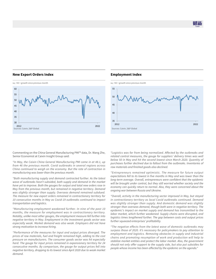# **New Export Orders Index**



# **Employment Index**



Commenting on the China General Manufacturing PMI™ data, Dr. Wang Zhe, Senior Economist at Caixin Insight Group said:

*"In May, the Caixin China General Manufacturing PMI came in at 48.1, up from 46 the previous month. Covid outbreaks in several regions across China continued to weigh on the economy. But the rate of contraction in manufacturing was lower than the previous month.*

*"Both manufacturing supply and demand contracted further. As the latest wave of outbreaks hasn't subsided, both supply and demand in the market have yet to improve. Both the gauges for output and total new orders rose in May from the previous month, but remained in negative territory. Demand was slightly stronger than supply. Overseas demand remained subdued. The measure for new export orders remained in contractionary territory for 10 consecutive months in May as Covid-19 outbreaks continued to impact transportation and logistics.*

*"Manufacturing employment weakened further. In nine of the past 10 months, the measure for employment was in contractionary territory. Notably, unlike most other gauges, the employment measure fell further into negative territory in May. Employment in the investment goods sector was especially weak. Market demand was also weak. Employers did not have strong motivation to increase hiring.*

*"Performance of the measures for input and output prices diverged. The prices of raw materials, fuel and freight remained high, adding to the cost pressure on manufacturers. The consumer goods sector was hit especially hard. The gauge for input prices remained in expansionary territory for 24 consecutive months. By comparison, the gauge for output prices fell into negative territory, dropping to its lowest since April 2020 due to weak market demand.*

*"Logistics was far from being normalized. Affected by the outbreaks and related control measures, the gauge for suppliers' delivery times was well below 50 in May and hit the second lowest since March 2020. Quantity of purchases further declined due to fallout from the outbreaks. Inventories of raw materials and finished goods also declined.*

*"Entrepreneurs remained optimistic. The measure for future output expectations fell to its lowest in five months in May and was lower than the long-term average. Overall, entrepreneurs were confident that the epidemic will be brought under control, but they still worried whether society and the economy can quickly return to normal. Also, they were concerned about the ongoing war between Russia and Ukraine.*

*"Overall, activity in the manufacturing sector improved in May, but stayed in contractionary territory as local Covid outbreaks continued. Demand was slightly stronger than supply. And domestic demand was slightly stronger than overseas demand, though both were in negative territory. The epidemic's impact on market supply and demand has transmitted to the labor market, which further weakened. Supply chains were disrupted, and logistics times lengthened further. The gap between costs and output prices further squeezed enterprises' profitability.* 

*"The negative effects from the latest wave of domestic outbreaks may surpass those of 2020. It's necessary for policymakers to pay attention to employment and logistics. Removing obstacles in supply and industrial chains and promoting resumption of work and production will help to stabilize market entities and protect the labor market. Also, the government should not only offer support to the supply side, but also put subsidies for people whose income has been affected by the epidemic on the agenda."*